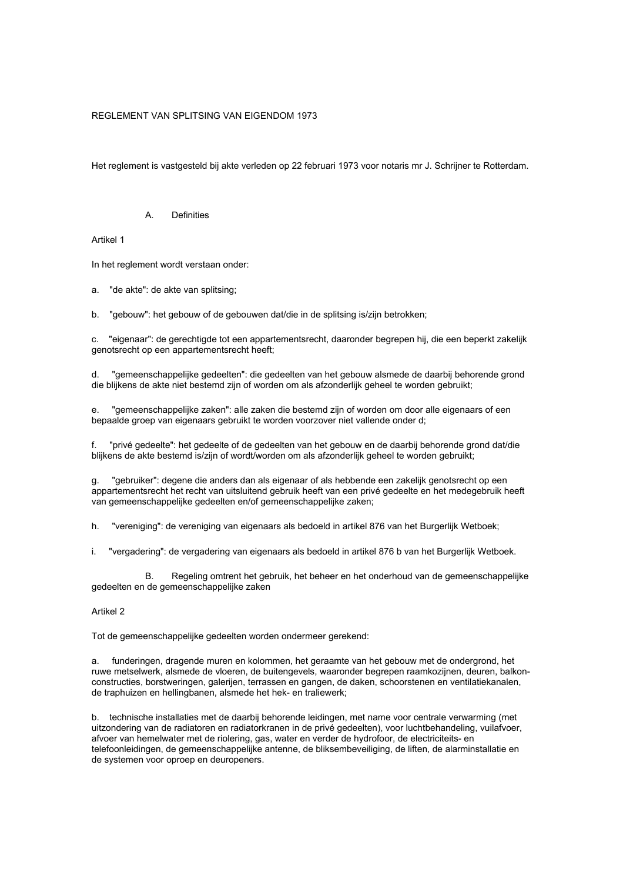# REGLEMENT VAN SPLITSING VAN EIGENDOM 1973

Het reglement is vastgesteld bij akte verleden op 22 februari 1973 voor notaris mr J. Schrijner te Rotterdam.

#### Definities  $\mathsf{A}$

Artikel 1

In het reglement wordt verstaan onder:

a. "de akte": de akte van splitsing;

b. "gebouw": het gebouw of de gebouwen dat/die in de splitsing is/zijn betrokken;

c. "eigenaar": de gerechtigde tot een appartementsrecht, daaronder begrepen hij, die een beperkt zakelijk genotsrecht op een appartementsrecht heeft;

"gemeenschappelijke gedeelten": die gedeelten van het gebouw alsmede de daarbij behorende grond  $d_{-}$ die blijkens de akte niet bestemd zijn of worden om als afzonderlijk geheel te worden gebruikt:

e. "gemeenschappelijke zaken": alle zaken die bestemd zijn of worden om door alle eigenaars of een bepaalde groep van eigenaars gebruikt te worden voorzover niet vallende onder d:

"privé gedeelte": het gedeelte of de gedeelten van het gebouw en de daarbij behorende grond dat/die  $f$ blijkens de akte bestemd is/zijn of wordt/worden om als afzonderlijk geheel te worden gebruikt:

"gebruiker": degene die anders dan als eigenaar of als hebbende een zakelijk genotsrecht op een g. appartementsrecht het recht van uitsluitend gebruik heeft van een privé gedeelte en het medegebruik heeft van gemeenschappelijke gedeelten en/of gemeenschappelijke zaken;

"vereniging": de vereniging van eigenaars als bedoeld in artikel 876 van het Burgerlijk Wetboek; h.

"vergadering": de vergadering van eigenaars als bedoeld in artikel 876 b van het Burgerlijk Wetboek. i.

 $B<sub>1</sub>$ Regeling omtrent het gebruik, het beheer en het onderhoud van de gemeenschappelijke gedeelten en de gemeenschappelijke zaken

# Artikel 2

Tot de gemeenschappelijke gedeelten worden ondermeer gerekend:

funderingen, dragende muren en kolommen, het geraamte van het gebouw met de ondergrond, het  $a$ ruwe metselwerk, alsmede de vloeren, de buitengevels, waaronder begrepen raamkozijnen, deuren, balkonconstructies, borstweringen, galerijen, terrassen en gangen, de daken, schoorstenen en ventilatiekanalen, de traphuizen en hellingbanen, alsmede het hek- en traliewerk;

b. technische installaties met de daarbij behorende leidingen, met name voor centrale verwarming (met uitzondering van de radiatoren en radiatorkranen in de privé gedeelten), voor luchtbehandeling, vuilafvoer, afvoer van hemelwater met de riolering, gas, water en verder de hydrofoor, de electriciteits- en telefoonleidingen, de gemeenschappelijke antenne, de bliksembeveiliging, de liften, de alarminstallatie en de systemen voor oproep en deuropeners.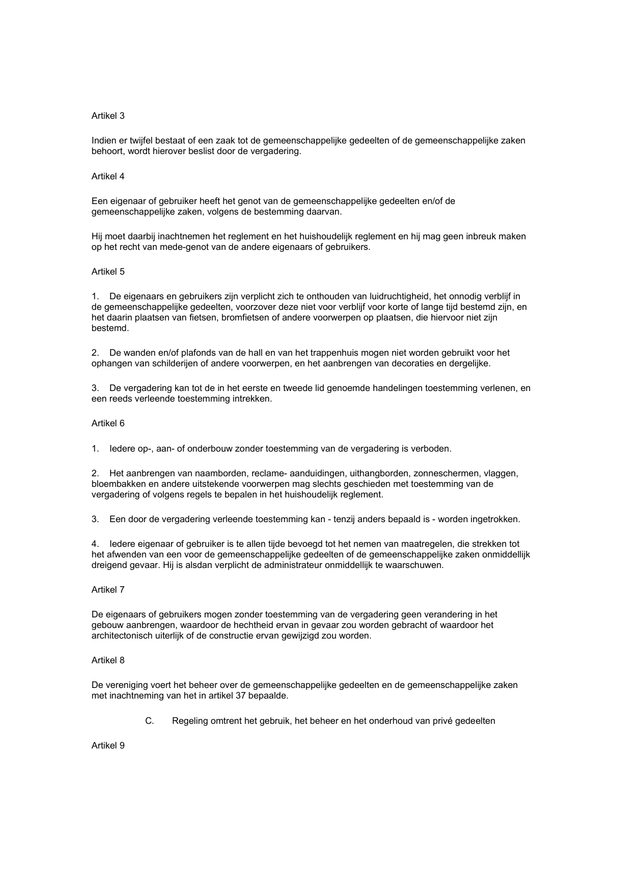## Artikel 3

Indien er twijfel bestaat of een zaak tot de gemeenschappelijke gedeelten of de gemeenschappelijke zaken behoort, wordt hierover beslist door de vergadering.

#### Artikel 4

Een eigenaar of gebruiker heeft het genot van de gemeenschappelijke gedeelten en/of de gemeenschappelijke zaken, volgens de bestemming daarvan.

Hij moet daarbij inachtnemen het reglement en het huishoudelijk reglement en hij mag geen inbreuk maken op het recht van mede-genot van de andere eigenaars of gebruikers.

## Artikel 5

1. De eigenaars en gebruikers zijn verplicht zich te onthouden van luidruchtigheid, het onnodig verblijf in de gemeenschappelijke gedeelten, voorzover deze niet voor verblijf voor korte of lange tijd bestemd zijn, en het daarin plaatsen van fietsen, bromfietsen of andere voorwerpen op plaatsen, die hiervoor niet zijn hestemd

2. De wanden en/of plafonds van de hall en van het trappenhuis mogen niet worden gebruikt voor het ophangen van schilderijen of andere voorwerpen, en het aanbrengen van decoraties en dergelijke.

3. De vergadering kan tot de in het eerste en tweede lid genoemde handelingen toestemming verlenen, en een reeds verleende toestemming intrekken.

#### Artikel 6

1. ledere op-, aan- of onderbouw zonder toestemming van de vergadering is verboden.

2. Het aanbrengen van naamborden, reclame- aanduidingen, uithangborden, zonneschermen, vlaggen, bloembakken en andere uitstekende voorwerpen mag slechts geschieden met toestemming van de vergadering of volgens regels te bepalen in het huishoudelijk reglement.

3. Een door de vergadering verleende toestemming kan - tenzij anders bepaald is - worden ingetrokken.

4. ledere eigenaar of gebruiker is te allen tijde bevoegd tot het nemen van maatregelen, die strekken tot het afwenden van een voor de gemeenschappelijke gedeelten of de gemeenschappelijke zaken onmiddellijk dreigend gevaar. Hij is alsdan verplicht de administrateur onmiddellijk te waarschuwen.

# Artikel 7

De eigenaars of gebruikers mogen zonder toestemming van de vergadering geen verandering in het gebouw aanbrengen, waardoor de hechtheid ervan in gevaar zou worden gebracht of waardoor het architectonisch uiterlijk of de constructie ervan gewijzigd zou worden.

# Artikel 8

De vereniging voert het beheer over de gemeenschappelijke gedeelten en de gemeenschappelijke zaken met inachtneming van het in artikel 37 bepaalde.

> C. Regeling omtrent het gebruik, het beheer en het onderhoud van privé gedeelten

Artikel 9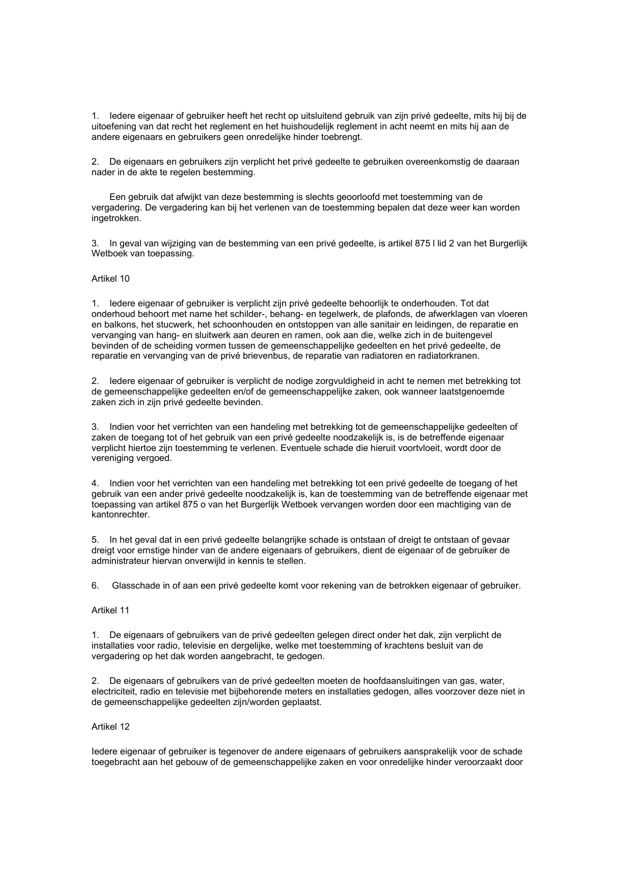1. ledere eigenaar of gebruiker heeft het recht op uitsluitend gebruik van zijn privé gedeelte, mits hij bij de uitoefening van dat recht het reglement en het huishoudelijk reglement in acht neemt en mits hij aan de andere eigenaars en gebruikers geen onredelijke hinder toebrengt.

2. De eigenaars en gebruikers zijn verplicht het privé gedeelte te gebruiken overeenkomstig de daaraan nader in de akte te regelen bestemming.

Een gebruik dat afwijkt van deze bestemming is slechts geoorloofd met toestemming van de vergadering. De vergadering kan bij het verlenen van de toestemming bepalen dat deze weer kan worden ingetrokken.

3. In geval van wijziging van de bestemming van een privé gedeelte, is artikel 875 I lid 2 van het Burgerlijk Wetboek van toepassing.

## Artikel 10

1. ledere eigenaar of gebruiker is verplicht zijn privé gedeelte behoorlijk te onderhouden. Tot dat onderhoud behoort met name het schilder-, behang- en tegelwerk, de plafonds, de afwerklagen van vloeren en balkons, het stucwerk, het schoonhouden en ontstoppen van alle sanitair en leidingen, de reparatie en vervanging van hang- en sluitwerk aan deuren en ramen, ook aan die, welke zich in de buitengevel bevinden of de scheiding vormen tussen de gemeenschappelijke gedeelten en het privé gedeelte, de reparatie en vervanging van de privé brievenbus, de reparatie van radiatoren en radiatorkranen.

2. ledere eigenaar of gebruiker is verplicht de nodige zorgvuldigheid in acht te nemen met betrekking tot de gemeenschappelijke gedeelten en/of de gemeenschappelijke zaken, ook wanneer laatstgenoemde zaken zich in zijn privé gedeelte bevinden.

3. Indien voor het verrichten van een handeling met betrekking tot de gemeenschappelijke gedeelten of zaken de toegang tot of het gebruik van een privé gedeelte noodzakelijk is, is de betreffende eigenaar verplicht hiertoe zijn toestemming te verlenen. Eventuele schade die hieruit voortvloeit, wordt door de vereniging vergoed.

4. Indien voor het verrichten van een handeling met betrekking tot een privé gedeelte de toegang of het gebruik van een ander privé gedeelte noodzakelijk is, kan de toestemming van de betreffende eigenaar met toepassing van artikel 875 o van het Burgerlijk Wetboek vervangen worden door een machtiging van de kantonrechter.

5. In het geval dat in een privé gedeelte belangrijke schade is ontstaan of dreigt te ontstaan of gevaar dreigt voor ernstige hinder van de andere eigenaars of gebruikers, dient de eigenaar of de gebruiker de administrateur hiervan onverwijld in kennis te stellen.

Glasschade in of aan een privé gedeelte komt voor rekening van de betrokken eigenaar of gebruiker. 6.

## Artikel 11

1. De eigenaars of gebruikers van de privé gedeelten gelegen direct onder het dak, zijn verplicht de installaties voor radio, televisie en dergelijke, welke met toestemming of krachtens besluit van de vergadering op het dak worden aangebracht, te gedogen.

2. De eigenaars of gebruikers van de privé gedeelten moeten de hoofdaansluitingen van gas, water, electriciteit, radio en televisie met bijbehorende meters en installaties gedogen, alles voorzover deze niet in de gemeenschappelijke gedeelten zijn/worden geplaatst.

# Artikel 12

ledere eigenaar of gebruiker is tegenover de andere eigenaars of gebruikers aansprakelijk voor de schade toegebracht aan het gebouw of de gemeenschappelijke zaken en voor onredelijke hinder veroorzaakt door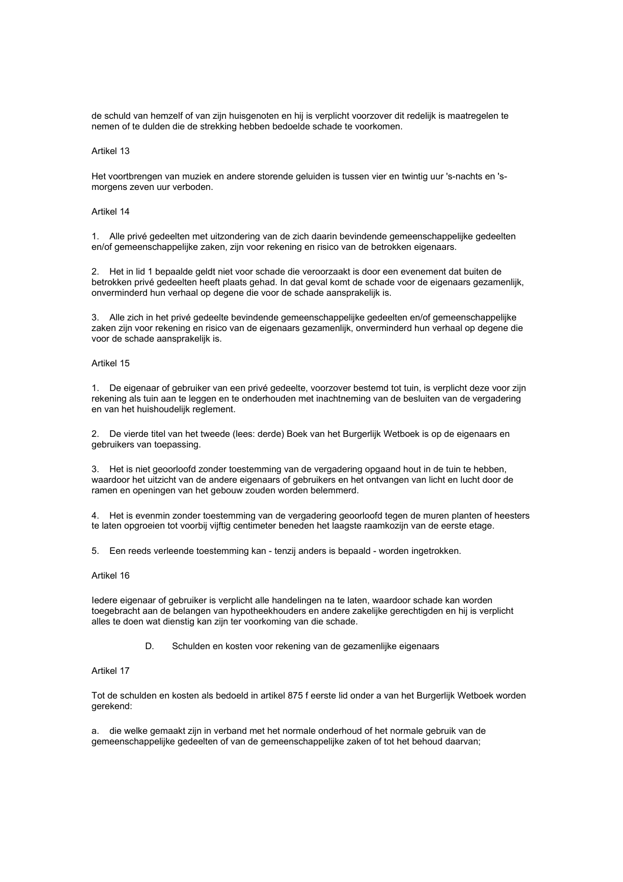de schuld van hemzelf of van zijn huisgenoten en hij is verplicht voorzover dit redelijk is maatregelen te nemen of te dulden die de strekking hebben bedoelde schade te voorkomen.

## Artikel 13

Het voortbrengen van muziek en andere storende geluiden is tussen vier en twintig uur 's-nachts en 'smorgens zeven uur verboden.

#### Artikel 14

1. Alle privé gedeelten met uitzondering van de zich daarin bevindende gemeenschappelijke gedeelten en/of gemeenschappelijke zaken, zijn voor rekening en risico van de betrokken eigenaars.

2. Het in lid 1 bepaalde geldt niet voor schade die veroorzaakt is door een evenement dat buiten de betrokken privé gedeelten heeft plaats gehad. In dat geval komt de schade voor de ejgenaars gezamenlijk. onverminderd hun verhaal op degene die voor de schade aansprakelijk is.

3. Alle zich in het privé gedeelte bevindende gemeenschappelijke gedeelten en/of gemeenschappelijke zaken zijn voor rekening en risico van de eigenaars gezamenlijk, onverminderd hun verhaal op degene die voor de schade aansprakelijk is.

# Artikel 15

1. De eigenaar of gebruiker van een privé gedeelte, voorzover bestemd tot tuin, is verplicht deze voor zijn rekening als tuin aan te leggen en te onderhouden met inachtneming van de besluiten van de vergadering en van het huishoudelijk reglement.

2. De vierde titel van het tweede (lees: derde) Boek van het Burgerlijk Wetboek is op de eigenaars en gebruikers van toepassing.

3. Het is niet geoorloofd zonder toestemming van de vergadering opgaand hout in de tuin te hebben, waardoor het uitzicht van de andere eigenaars of gebruikers en het ontvangen van licht en lucht door de ramen en openingen van het gebouw zouden worden belemmerd.

4. Het is evenmin zonder toestemming van de vergadering geoorloofd tegen de muren planten of heesters te laten opgroeien tot voorbij vijftig centimeter beneden het laagste raamkozijn van de eerste etage.

5. Een reeds verleende toestemming kan - tenzij anders is bepaald - worden ingetrokken.

#### Artikel 16

ledere eigenaar of gebruiker is verplicht alle handelingen na te laten, waardoor schade kan worden toegebracht aan de belangen van hypotheekhouders en andere zakelijke gerechtigden en hij is verplicht alles te doen wat dienstig kan zijn ter voorkoming van die schade.

> D. Schulden en kosten voor rekening van de gezamenlijke eigenaars

# Artikel 17

Tot de schulden en kosten als bedoeld in artikel 875 f eerste lid onder a van het Burgerlijk Wetboek worden gerekend:

a. die welke gemaakt zijn in verband met het normale onderhoud of het normale gebruik van de gemeenschappelijke gedeelten of van de gemeenschappelijke zaken of tot het behoud daarvan;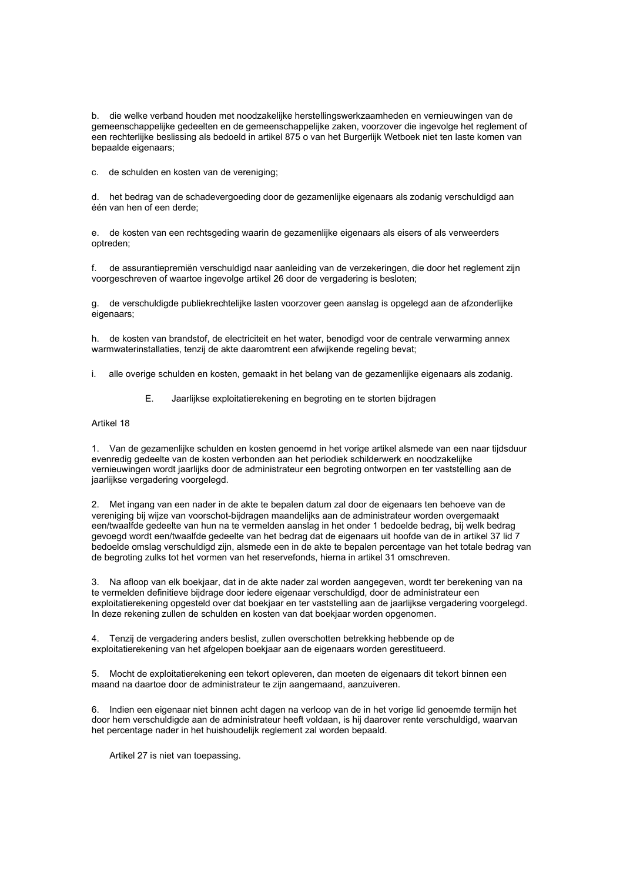b. die welke verband houden met noodzakelijke herstellingswerkzaamheden en vernieuwingen van de gemeenschappelijke gedeelten en de gemeenschappelijke zaken, voorzover die ingevolge het reglement of een rechterlijke beslissing als bedoeld in artikel 875 o van het Burgerlijk Wetboek niet ten laste komen van bepaalde eigenaars;

c. de schulden en kosten van de vereniging;

d. het bedrag van de schadevergoeding door de gezamenlijke eigenaars als zodanig verschuldigd aan één van hen of een derde;

e. de kosten van een rechtsgeding waarin de gezamenlijke eigenaars als eisers of als verweerders optreden;

f. de assurantiepremiën verschuldigd naar aanleiding van de verzekeringen, die door het reglement zijn voorgeschreven of waartoe ingevolge artikel 26 door de vergadering is besloten;

g. de verschuldigde publiekrechtelijke lasten voorzover geen aanslag is opgelegd aan de afzonderlijke eigenaars;

h. de kosten van brandstof, de electriciteit en het water, benodigd voor de centrale verwarming annex warmwaterinstallaties, tenzij de akte daaromtrent een afwijkende regeling bevat;

i. alle overige schulden en kosten, gemaakt in het belang van de gezamenlijke eigenaars als zodanig.

E. Jaarlijkse exploitatierekening en begroting en te storten bijdragen

Artikel 18

1. Van de gezamenlijke schulden en kosten genoemd in het vorige artikel alsmede van een naar tijdsduur evenredig gedeelte van de kosten verbonden aan het periodiek schilderwerk en noodzakelijke vernieuwingen wordt jaarlijks door de administrateur een begroting ontworpen en ter vaststelling aan de jaarlijkse vergadering voorgelegd.

Met ingang van een nader in de akte te bepalen datum zal door de eigenaars ten behoeve van de  $2.$ vereniging bij wijze van voorschot-bijdragen maandelijks aan de administrateur worden overgemaakt een/twaalfde gedeelte van hun na te vermelden aanslag in het onder 1 bedoelde bedrag, bij welk bedrag gevoegd wordt een/twaalfde gedeelte van het bedrag dat de eigenaars uit hoofde van de in artikel 37 lid 7 bedoelde omslag verschuldigd zijn, alsmede een in de akte te bepalen percentage van het totale bedrag van de begroting zulks tot het vormen van het reservefonds, hierna in artikel 31 omschreven.

3. Na afloop van elk boekjaar, dat in de akte nader zal worden aangegeven, wordt ter berekening van na te vermelden definitieve bijdrage door iedere eigenaar verschuldigd, door de administrateur een exploitatierekening opgesteld over dat boekjaar en ter vaststelling aan de jaarlijkse vergadering voorgelegd. In deze rekening zullen de schulden en kosten van dat boekjaar worden opgenomen.

4. Tenzii de vergadering anders beslist, zullen overschotten betrekking hebbende op de exploitatierekening van het afgelopen boekjaar aan de eigenaars worden gerestitueerd.

5. Mocht de exploitatierekening een tekort opleveren, dan moeten de eigenaars dit tekort binnen een maand na daartoe door de administrateur te zijn aangemaand, aanzuiveren.

6. Indien een eigenaar niet binnen acht dagen na verloop van de in het vorige lid genoemde termiin het door hem verschuldigde aan de administrateur heeft voldaan, is hij daarover rente verschuldigd, waarvan het percentage nader in het huishoudelijk reglement zal worden bepaald.

Artikel 27 is niet van toepassing.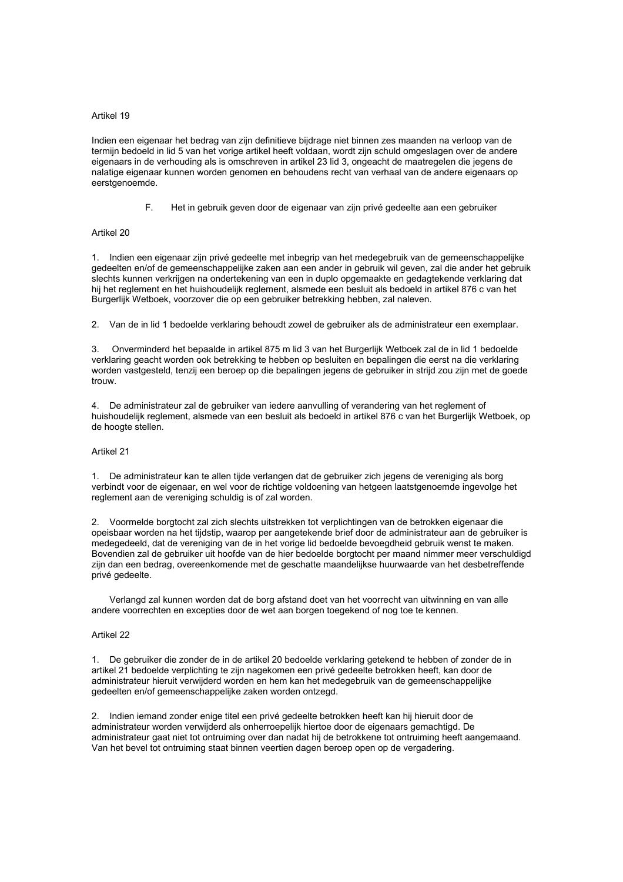#### Artikel 19

Indien een eigenaar het bedrag van zijn definitieve bijdrage niet binnen zes maanden na verloop van de termijn bedoeld in lid 5 van het vorige artikel heeft voldaan, wordt zijn schuld omgeslagen over de andere eigenaars in de verhouding als is omschreven in artikel 23 lid 3, ongeacht de maatregelen die jegens de nalatige eigenaar kunnen worden genomen en behoudens recht van verhaal van de andere eigenaars op eerstgenoemde.

> F. Het in gebruik geven door de eigenaar van zijn privé gedeelte aan een gebruiker

#### Artikel 20

1. Indien een eigenaar zijn privé gedeelte met inbegrip van het medegebruik van de gemeenschappelijke gedeelten en/of de gemeenschappelijke zaken aan een ander in gebruik wil geven, zal die ander het gebruik slechts kunnen verkrijgen na ondertekening van een in duplo opgemaakte en gedagtekende verklaring dat hij het reglement en het huishoudelijk reglement, alsmede een besluit als bedoeld in artikel 876 c van het Burgerlijk Wetboek, voorzover die op een gebruiker betrekking hebben, zal naleven.

2. Van de in lid 1 bedoelde verklaring behoudt zowel de gebruiker als de administrateur een exemplaar.

Onverminderd het bepaalde in artikel 875 m lid 3 van het Burgerlijk Wetboek zal de in lid 1 bedoelde 3. verklaring geacht worden ook betrekking te hebben op besluiten en bepalingen die eerst na die verklaring worden vastgesteld, tenzij een beroep op die bepalingen jegens de gebruiker in strijd zou zijn met de goede trouw.

4. De administrateur zal de gebruiker van iedere aanvulling of verandering van het reglement of huishoudelijk reglement, alsmede van een besluit als bedoeld in artikel 876 c van het Burgerlijk Wetboek, op de hoogte stellen.

## Artikel 21

1. De administrateur kan te allen tijde verlangen dat de gebruiker zich jegens de vereniging als borg verbindt voor de eigenaar, en wel voor de richtige voldoening van hetgeen laatstgenoemde ingevolge het reglement aan de vereniging schuldig is of zal worden.

2. Voormelde borgtocht zal zich slechts uitstrekken tot verplichtingen van de betrokken eigenaar die opeisbaar worden na het tijdstip, waarop per aangetekende brief door de administrateur aan de gebruiker is medegedeeld, dat de vereniging van de in het vorige lid bedoelde bevoegdheid gebruik wenst te maken. Bovendien zal de gebruiker uit hoofde van de hier bedoelde borgtocht per maand nimmer meer verschuldigd zijn dan een bedrag, overeenkomende met de geschatte maandelijkse huurwaarde van het desbetreffende privé gedeelte.

Verlangd zal kunnen worden dat de borg afstand doet van het voorrecht van uitwinning en van alle andere voorrechten en excepties door de wet aan borgen toegekend of nog toe te kennen.

## Artikel 22

1. De gebruiker die zonder de in de artikel 20 bedoelde verklaring getekend te hebben of zonder de in artikel 21 bedoelde verplichting te zijn nagekomen een privé gedeelte betrokken heeft, kan door de administrateur hieruit verwijderd worden en hem kan het medegebruik van de gemeenschappelijke gedeelten en/of gemeenschappelijke zaken worden ontzegd.

2. Indien iemand zonder enige titel een privé gedeelte betrokken heeft kan hij hieruit door de administrateur worden verwijderd als onherroepelijk hiertoe door de eigenaars gemachtigd. De administrateur gaat niet tot ontruiming over dan nadat hij de betrokkene tot ontruiming heeft aangemaand. Van het bevel tot ontruiming staat binnen veertien dagen beroep open op de vergadering.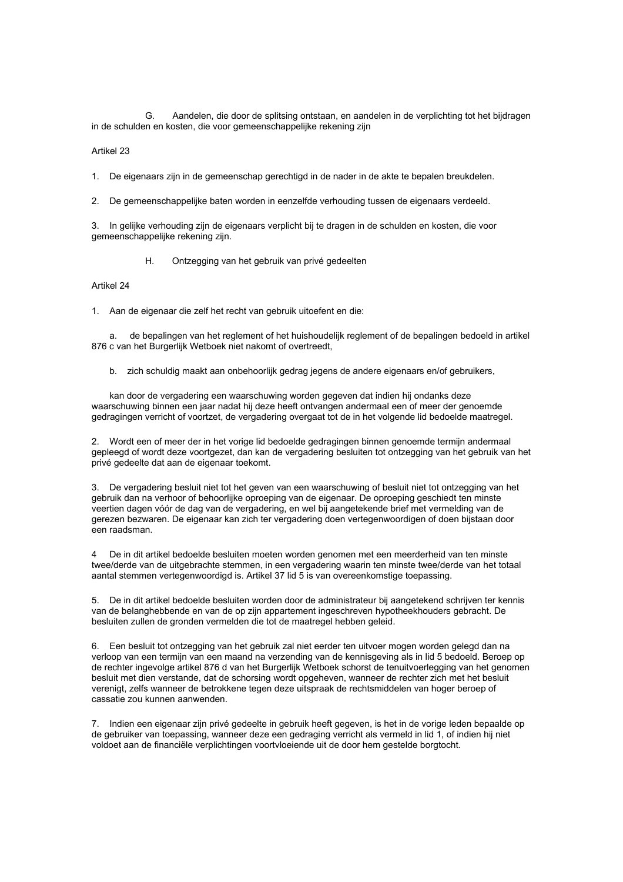Aandelen, die door de splitsing ontstaan, en aandelen in de verplichting tot het bijdragen G. in de schulden en kosten, die voor gemeenschappelijke rekening zijn

# Artikel 23

 $1<sup>1</sup>$ De eigenaars zijn in de gemeenschap gerechtigd in de nader in de akte te bepalen breukdelen.

De gemeenschappelijke baten worden in eenzelfde verhouding tussen de eigenaars verdeeld.  $2<sup>1</sup>$ 

3. In gelijke verhouding zijn de eigenaars verplicht bij te dragen in de schulden en kosten, die voor gemeenschappelijke rekening zijn.

> Η. Ontzegging van het gebruik van privé gedeelten

## Artikel 24

1. Aan de eigenaar die zelf het recht van gebruik uitoefent en die:

a. de bepalingen van het reglement of het huishoudelijk reglement of de bepalingen bedoeld in artikel 876 c van het Burgerlijk Wetboek niet nakomt of overtreedt.

b. zich schuldig maakt aan onbehoorlijk gedrag jegens de andere eigenaars en/of gebruikers.

kan door de vergadering een waarschuwing worden gegeven dat indien hij ondanks deze waarschuwing binnen een jaar nadat hij deze heeft ontvangen andermaal een of meer der genoemde gedragingen verricht of voortzet, de vergadering overgaat tot de in het volgende lid bedoelde maatregel.

2. Wordt een of meer der in het vorige lid bedoelde gedragingen binnen genoemde termiin andermaal gepleegd of wordt deze voortgezet, dan kan de vergadering besluiten tot ontzegging van het gebruik van het privé gedeelte dat aan de eigenaar toekomt.

3. De vergadering besluit niet tot het geven van een waarschuwing of besluit niet tot ontzegging van het gebruik dan na verhoor of behoorlijke oproeping van de eigenaar. De oproeping geschiedt ten minste veertien dagen vóór de dag van de vergadering, en wel bij aangetekende brief met vermelding van de gerezen bezwaren. De eigenaar kan zich ter vergadering doen vertegenwoordigen of doen bijstaan door een raadsman

4 De in dit artikel bedoelde besluiten moeten worden genomen met een meerderheid van ten minste twee/derde van de uitgebrachte stemmen, in een vergadering waarin ten minste twee/derde van het totaal aantal stemmen vertegenwoordigd is. Artikel 37 lid 5 is van overeenkomstige toepassing.

5. De in dit artikel bedoelde besluiten worden door de administrateur bij aangetekend schrijven ter kennis van de belanghebbende en van de op zijn appartement ingeschreven hypotheekhouders gebracht. De besluiten zullen de gronden vermelden die tot de maatregel hebben geleid.

6. Een besluit tot ontzegging van het gebruik zal niet eerder ten uitvoer mogen worden gelegd dan na verloop van een termijn van een maand na verzending van de kennisgeving als in lid 5 bedoeld. Beroep op de rechter ingevolge artikel 876 d van het Burgerlijk Wetboek schorst de tenuitvoerlegging van het genomen besluit met dien verstande, dat de schorsing wordt opgeheven, wanneer de rechter zich met het besluit verenigt, zelfs wanneer de betrokkene tegen deze uitspraak de rechtsmiddelen van hoger beroep of cassatie zou kunnen aanwenden.

7. Indien een eigenaar zijn privé gedeelte in gebruik heeft gegeven, is het in de vorige leden bepaalde op de gebruiker van toepassing, wanneer deze een gedraging verricht als vermeld in lid 1, of indien hij niet voldoet aan de financiële verplichtingen voortvloeiende uit de door hem gestelde borgtocht.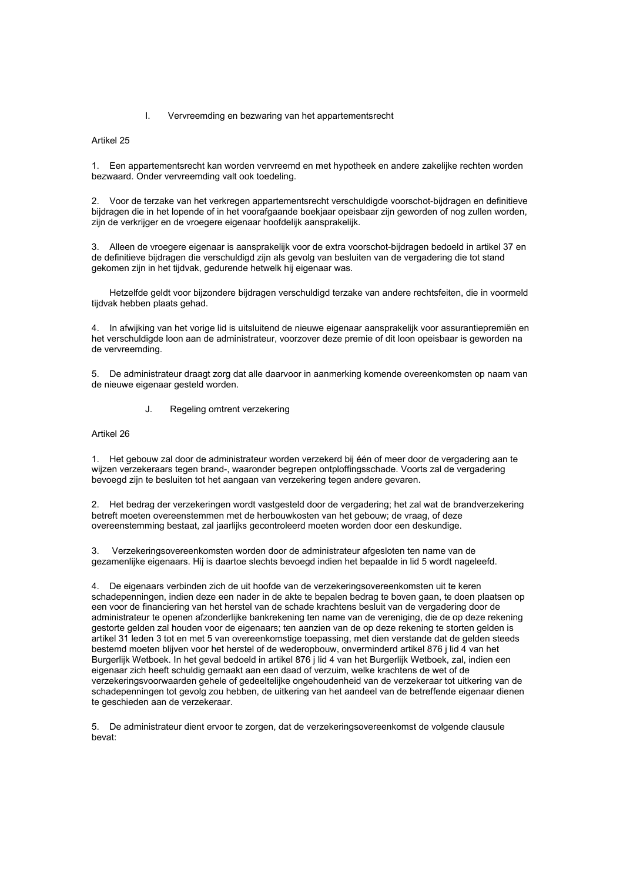$\mathbf{L}$ Vervreemding en bezwaring van het appartementsrecht

Artikel 25

1. Een appartementsrecht kan worden vervreemd en met hypotheek en andere zakelijke rechten worden bezwaard. Onder vervreemding valt ook toedeling.

2. Voor de terzake van het verkregen appartementsrecht verschuldigde voorschot-bijdragen en definitieve bijdragen die in het lopende of in het voorafgaande boekjaar opeisbaar zijn geworden of nog zullen worden, zijn de verkrijger en de vroegere eigenaar hoofdelijk aansprakelijk.

3. Alleen de vroegere eigenaar is aansprakelijk voor de extra voorschot-bijdragen bedoeld in artikel 37 en de definitieve bijdragen die verschuldigd zijn als gevolg van besluiten van de vergadering die tot stand gekomen zijn in het tijdvak, gedurende hetwelk hij eigenaar was.

Hetzelfde geldt voor bijzondere bijdragen verschuldigd terzake van andere rechtsfeiten, die in voormeld tiidvak hebben plaats gehad.

4. In afwijking van het vorige lid is uitsluitend de nieuwe eigenaar aansprakelijk voor assurantiepremiën en het verschuldigde loon aan de administrateur, voorzover deze premie of dit loon opeisbaar is geworden na de vervreemding.

5. De administrateur draagt zorg dat alle daarvoor in aanmerking komende overeenkomsten op naam van de nieuwe eigenaar gesteld worden.

> Regeling omtrent verzekering  $\mathbf{J}$

Artikel 26

1. Het gebouw zal door de administrateur worden verzekerd bij één of meer door de vergadering aan te wijzen verzekeraars tegen brand-, waaronder begrepen ontploffingsschade. Voorts zal de vergadering bevoegd zijn te besluiten tot het aangaan van verzekering tegen andere gevaren.

2. Het bedrag der verzekeringen wordt vastgesteld door de vergadering; het zal wat de brandverzekering betreft moeten overeenstemmen met de herbouwkosten van het gebouw: de vraag, of deze overeenstemming bestaat, zal jaarlijks gecontroleerd moeten worden door een deskundige.

Verzekeringsovereenkomsten worden door de administrateur afgesloten ten name van de  $\mathbf{3}$ gezamenlijke eigenaars. Hij is daartoe slechts bevoegd indien het bepaalde in lid 5 wordt nageleefd.

4. De eigenaars verbinden zich de uit hoofde van de verzekeringsovereenkomsten uit te keren schadepenningen, indien deze een nader in de akte te bepalen bedrag te boven gaan, te doen plaatsen op een voor de financiering van het herstel van de schade krachtens besluit van de vergadering door de administrateur te openen afzonderlijke bankrekening ten name van de vereniging, die de op deze rekening gestorte gelden zal houden voor de eigenaars; ten aanzien van de op deze rekening te storten gelden is artikel 31 leden 3 tot en met 5 van overeenkomstige toepassing, met dien verstande dat de gelden steeds bestemd moeten blijven voor het herstel of de wederopbouw, onverminderd artikel 876 j lid 4 van het Burgerlijk Wetboek. In het geval bedoeld in artikel 876 j lid 4 van het Burgerlijk Wetboek, zal, indien een eigenaar zich heeft schuldig gemaakt aan een daad of verzuim, welke krachtens de wet of de verzekeringsvoorwaarden gehele of gedeeltelijke ongehoudenheid van de verzekeraar tot uitkering van de schadepenningen tot gevolg zou hebben, de uitkering van het aandeel van de betreffende eigenaar dienen te geschieden aan de verzekeraar.

5. De administrateur dient ervoor te zorgen, dat de verzekeringsovereenkomst de volgende clausule bevat: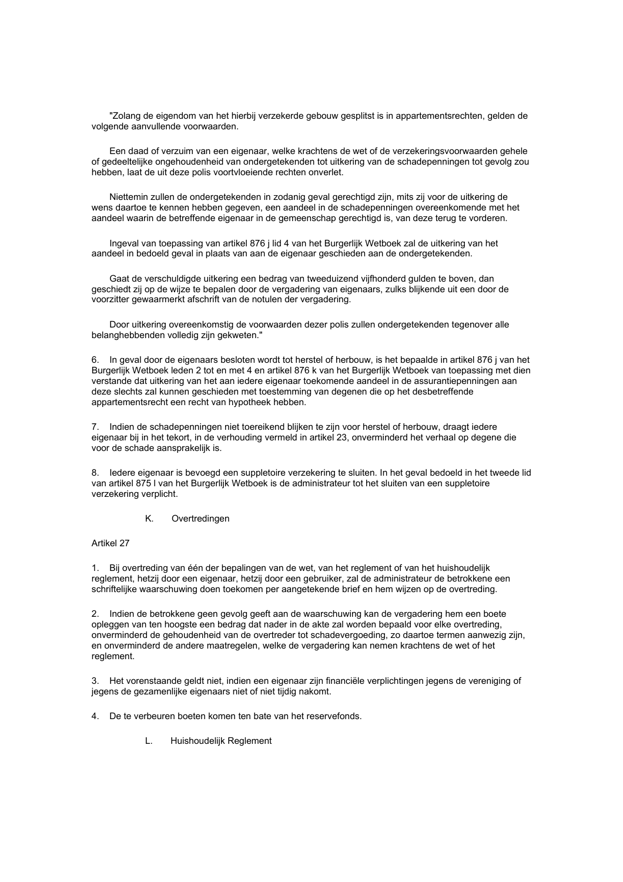"Zolang de eigendom van het hierbij verzekerde gebouw gesplitst is in appartementsrechten, gelden de volgende aanvullende voorwaarden.

Een daad of verzuim van een eigenaar, welke krachtens de wet of de verzekeringsvoorwaarden gehele of gedeeltelijke ongehoudenheid van ondergetekenden tot uitkering van de schadepenningen tot gevolg zou hebben, laat de uit deze polis voortvloeiende rechten onverlet.

Niettemin zullen de ondergetekenden in zodanig geval gerechtigd zijn, mits zij voor de uitkering de wens daartoe te kennen hebben gegeven, een aandeel in de schadepenningen overeenkomende met het aandeel waarin de betreffende eigenaar in de gemeenschap gerechtigd is, van deze terug te vorderen.

Ingeval van toepassing van artikel 876 j lid 4 van het Burgerlijk Wetboek zal de uitkering van het aandeel in bedoeld geval in plaats van aan de eigenaar geschieden aan de ondergetekenden.

Gaat de verschuldigde uitkering een bedrag van tweeduizend vijfhonderd gulden te boven, dan geschiedt zij op de wijze te bepalen door de vergadering van eigenaars, zulks blijkende uit een door de voorzitter gewaarmerkt afschrift van de notulen der vergadering.

Door uitkering overeenkomstig de voorwaarden dezer polis zullen ondergetekenden tegenover alle belanghebbenden volledig zijn gekweten."

6. In geval door de eigenaars besloten wordt tot herstel of herbouw, is het bepaalde in artikel 876 j van het Burgerlijk Wetboek leden 2 tot en met 4 en artikel 876 k van het Burgerlijk Wetboek van toepassing met dien verstande dat uitkering van het aan iedere eigenaar toekomende aandeel in de assurantiepenningen aan deze slechts zal kunnen geschieden met toestemming van degenen die op het desbetreffende appartementsrecht een recht van hypotheek hebben.

7. Indien de schadepenningen niet toereikend blijken te zijn voor herstel of herbouw, draagt jedere eigenaar bij in het tekort, in de verhouding vermeld in artikel 23, onverminderd het verhaal op degene die voor de schade aansprakelijk is.

8. ledere eigenaar is bevoegd een suppletoire verzekering te sluiten. In het geval bedoeld in het tweede lid van artikel 875 I van het Burgerlijk Wetboek is de administrateur tot het sluiten van een suppletoire verzekering verplicht.

> K. Overtredingen

Artikel 27

1. Bij overtreding van één der bepalingen van de wet, van het reglement of van het huishoudelijk reglement, hetzij door een eigenaar, hetzij door een gebruiker, zal de administrateur de betrokkene een schriftelijke waarschuwing doen toekomen per aangetekende brief en hem wijzen op de overtreding.

2. Indien de betrokkene geen gevolg geeft aan de waarschuwing kan de vergadering hem een boete opleggen van ten hoogste een bedrag dat nader in de akte zal worden bepaald voor elke overtreding, onverminderd de gehoudenheid van de overtreder tot schadevergoeding, zo daartoe termen aanwezig zijn, en onverminderd de andere maatregelen, welke de vergadering kan nemen krachtens de wet of het reglement.

3. Het vorenstaande geldt niet, indien een eigenaar zijn financiële verplichtingen jegens de vereniging of jegens de gezamenlijke eigenaars niet of niet tijdig nakomt.

4. De te verbeuren boeten komen ten bate van het reservefonds.

Huishoudelijk Realement L.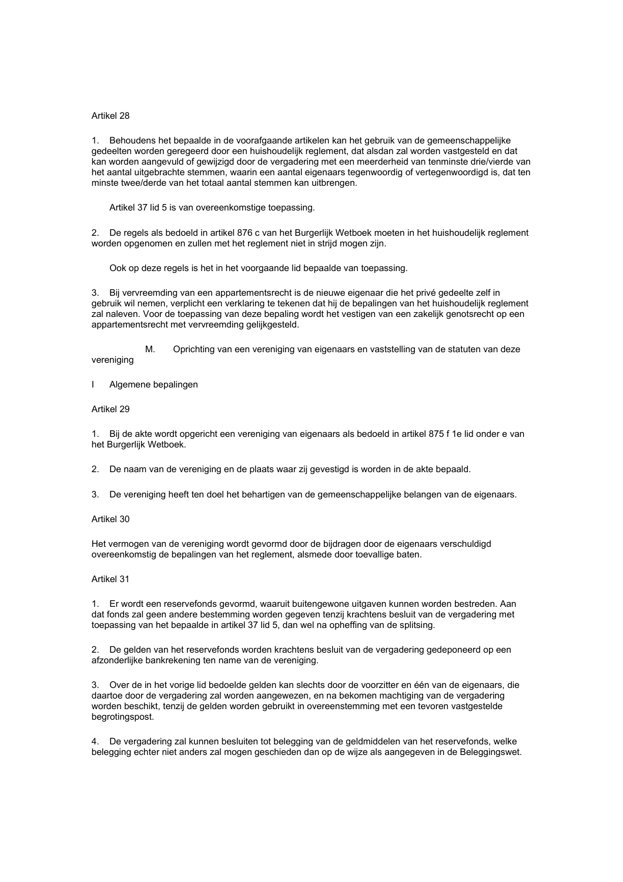# Artikel 28

1. Behoudens het bepaalde in de voorafgaande artikelen kan het gebruik van de gemeenschappelijke gedeelten worden geregeerd door een huishoudelijk reglement, dat alsdan zal worden vastgesteld en dat kan worden aangevuld of gewijzigd door de vergadering met een meerderheid van tenminste drie/vierde van het aantal uitgebrachte stemmen, waarin een aantal eigenaars tegenwoordig of vertegenwoordigd is, dat ten minste twee/derde van het totaal aantal stemmen kan uitbrengen.

Artikel 37 lid 5 is van overeenkomstige toepassing.

2. De regels als bedoeld in artikel 876 c van het Burgerlijk Wetboek moeten in het huishoudelijk reglement worden opgenomen en zullen met het reglement niet in strijd mogen zijn.

Ook op deze regels is het in het voorgaande lid bepaalde van toepassing.

3. Bij vervreemding van een appartementsrecht is de nieuwe eigenaar die het privé gedeelte zelf in gebruik wil nemen. verplicht een verklaring te tekenen dat hij de bepalingen van het huishoudelijk reglement zal naleven. Voor de toepassing van deze bepaling wordt het vestigen van een zakelijk genotsrecht op een appartementsrecht met vervreemding gelijkgesteld.

M. Oprichting van een vereniging van eigenaars en vaststelling van de statuten van deze vereniging

Algemene bepalingen  $\overline{1}$ 

Artikel 29

1. Bij de akte wordt opgericht een vereniging van eigenaars als bedoeld in artikel 875 f 1e lid onder e van het Burgerlijk Wetboek.

2. De naam van de vereniging en de plaats waar zij gevestigd is worden in de akte bepaald.

 $\mathcal{R}$ De vereniging heeft ten doel het behartigen van de gemeenschappelijke belangen van de eigenaars.

Artikel 30

Het vermogen van de vereniging wordt gevormd door de bijdragen door de eigenaars verschuldigd overeenkomstig de bepalingen van het reglement, alsmede door toevallige baten.

# Artikel 31

1. Er wordt een reservefonds gevormd, waaruit buitengewone uitgaven kunnen worden bestreden. Aan dat fonds zal geen andere bestemming worden gegeven tenzij krachtens besluit van de vergadering met toepassing van het bepaalde in artikel 37 lid 5, dan wel na opheffing van de splitsing.

2. De gelden van het reservefonds worden krachtens besluit van de vergadering gedeponeerd op een afzonderlijke bankrekening ten name van de vereniging.

3. Over de in het vorige lid bedoelde gelden kan slechts door de voorzitter en één van de eigenaars, die daartoe door de vergadering zal worden aangewezen, en na bekomen machtiging van de vergadering worden beschikt, tenzij de gelden worden gebruikt in overeenstemming met een tevoren vastgestelde begrotingspost.

4. De vergadering zal kunnen besluiten tot belegging van de geldmiddelen van het reservefonds, welke belegging echter niet anders zal mogen geschieden dan op de wijze als aangegeven in de Beleggingswet.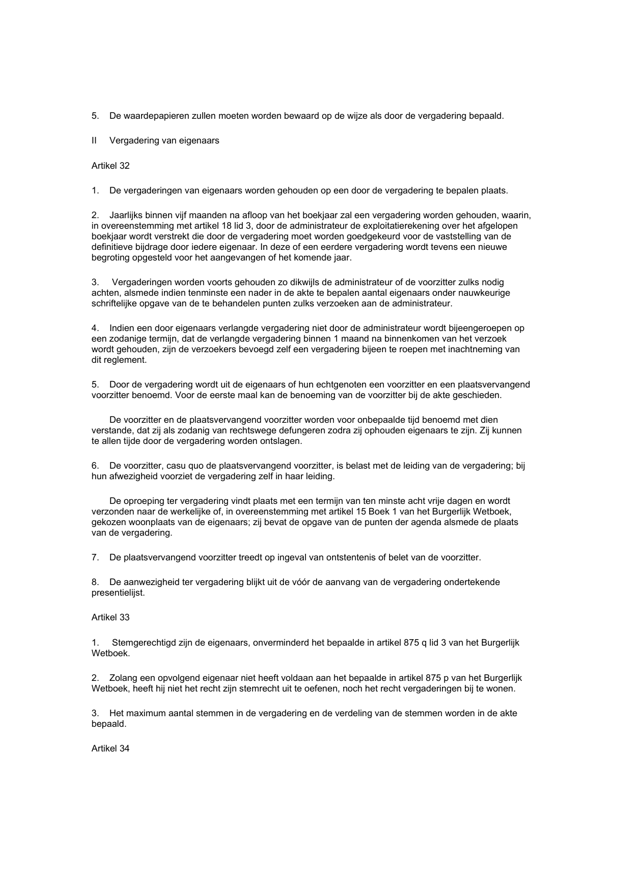5. De waardepapieren zullen moeten worden bewaard op de wijze als door de vergadering bepaald.

 $\mathbf{H}$ Vergadering van eigenaars

Artikel 32

1. De vergaderingen van eigenaars worden gehouden op een door de vergadering te bepalen plaats.

2. Jaarlijks binnen vijf maanden na afloop van het boekjaar zal een vergadering worden gehouden, waarin. in overeenstemming met artikel 18 lid 3, door de administrateur de exploitatierekening over het afgelopen boekjaar wordt verstrekt die door de vergadering moet worden goedgekeurd voor de vaststelling van de definitieve bijdrage door iedere eigenaar. In deze of een eerdere vergadering wordt tevens een nieuwe begroting opgesteld voor het aangevangen of het komende jaar.

 $3<sub>1</sub>$ Vergaderingen worden voorts gehouden zo dikwijls de administrateur of de voorzitter zulks nodig achten, alsmede indien tenminste een nader in de akte te bepalen aantal eigenaars onder nauwkeurige schriftelijke opgave van de te behandelen punten zulks verzoeken aan de administrateur.

4. Indien een door eigenaars verlangde vergadering niet door de administrateur wordt bijeengeroepen op een zodanige termijn, dat de verlangde vergadering binnen 1 maand na binnenkomen van het verzoek wordt gehouden, zijn de verzoekers bevoegd zelf een vergadering bijeen te roepen met inachtneming van dit reglement.

5. Door de vergadering wordt uit de eigenaars of hun echtgenoten een voorzitter en een plaatsvervangend voorzitter benoemd. Voor de eerste maal kan de benoeming van de voorzitter bij de akte geschieden.

De voorzitter en de plaatsvervangend voorzitter worden voor onbepaalde tijd benoemd met dien verstande, dat zij als zodanig van rechtswege defungeren zodra zij ophouden eigenaars te zijn. Zij kunnen te allen tijde door de vergadering worden ontslagen.

6. De voorzitter, casu quo de plaatsvervangend voorzitter, is belast met de leiding van de vergadering; bij hun afwezigheid voorziet de vergadering zelf in haar leiding.

De oproeping ter vergadering vindt plaats met een termijn van ten minste acht vrije dagen en wordt verzonden naar de werkelijke of, in overeenstemming met artikel 15 Boek 1 van het Burgerlijk Wetboek. gekozen woonplaats van de eigenaars; zij bevat de opgave van de punten der agenda alsmede de plaats van de vergadering.

7. De plaatsvervangend voorzitter treedt op ingeval van ontstentenis of belet van de voorzitter.

8. De aanwezigheid ter vergadering blijkt uit de vóór de aanvang van de vergadering ondertekende presentielijst.

# Artikel 33

1. Stemgerechtigd zijn de eigenaars, onverminderd het bepaalde in artikel 875 g lid 3 van het Burgerlijk Wetboek.

2. Zolang een opvolgend eigenaar niet heeft voldaan aan het bepaalde in artikel 875 p van het Burgerlijk Wetboek, heeft hij niet het recht zijn stemrecht uit te oefenen, noch het recht vergaderingen bij te wonen.

3. Het maximum aantal stemmen in de vergadering en de verdeling van de stemmen worden in de akte bepaald.

Artikel  $34$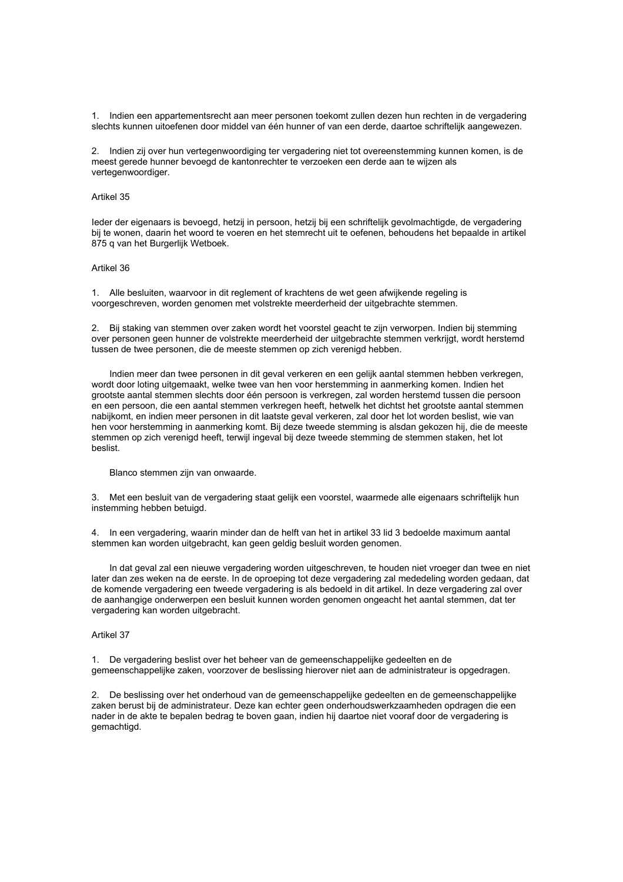1. Indien een appartementsrecht aan meer personen toekomt zullen dezen hun rechten in de vergadering slechts kunnen uitoefenen door middel van één hunner of van een derde, daartoe schriftelijk aangewezen.

2. Indien zij over hun vertegenwoordiging ter vergadering niet tot overeenstemming kunnen komen, is de meest gerede hunner bevoegd de kantonrechter te verzoeken een derde aan te wijzen als vertegenwoordiger.

#### Artikel 35

leder der eigenaars is bevoegd, hetzij in persoon, hetzij bij een schriftelijk gevolmachtigde, de vergadering bij te wonen, daarin het woord te voeren en het stemrecht uit te oefenen, behoudens het bepaalde in artikel 875 q van het Burgerlijk Wetboek.

## Artikel 36

1. Alle besluiten, waarvoor in dit reglement of krachtens de wet geen afwijkende regeling is voorgeschreven, worden genomen met volstrekte meerderheid der uitgebrachte stemmen.

2. Bij staking van stemmen over zaken wordt het voorstel geacht te zijn verworpen. Indien bij stemming over personen geen hunner de volstrekte meerderheid der uitgebrachte stemmen verkrijgt, wordt herstemd tussen de twee personen, die de meeste stemmen op zich verenigd hebben.

Indien meer dan twee personen in dit geval verkeren en een gelijk aantal stemmen hebben verkregen. wordt door loting uitgemaakt, welke twee van hen voor herstemming in aanmerking komen. Indien het grootste aantal stemmen slechts door één persoon is verkregen, zal worden herstemd tussen die persoon en een persoon, die een aantal stemmen verkregen heeft, hetwelk het dichtst het grootste aantal stemmen nabijkomt, en indien meer personen in dit laatste geval verkeren, zal door het lot worden beslist, wie van hen voor herstemming in aanmerking komt. Bij deze tweede stemming is alsdan gekozen hij, die de meeste stemmen op zich verenigd heeft, terwijl ingeval bij deze tweede stemming de stemmen staken, het lot beslist.

#### Blanco stemmen zijn van onwaarde.

3. Met een besluit van de vergadering staat gelijk een voorstel, waarmede alle eigenaars schriftelijk hun instemming hebben betuigd.

4. In een vergadering, waarin minder dan de helft van het in artikel 33 lid 3 bedoelde maximum aantal stemmen kan worden uitgebracht, kan geen geldig besluit worden genomen.

In dat geval zal een nieuwe vergadering worden uitgeschreven, te houden niet vroeger dan twee en niet later dan zes weken na de eerste. In de oproeping tot deze vergadering zal mededeling worden gedaan, dat de komende vergadering een tweede vergadering is als bedoeld in dit artikel. In deze vergadering zal over de aanhangige onderwerpen een besluit kunnen worden genomen ongeacht het aantal stemmen, dat ter vergadering kan worden uitgebracht.

#### Artikel 37

1. De vergadering beslist over het beheer van de gemeenschappelijke gedeelten en de gemeenschappelijke zaken, voorzover de beslissing hierover niet aan de administrateur is opgedragen.

2. De beslissing over het onderhoud van de gemeenschappelijke gedeelten en de gemeenschappelijke zaken berust bij de administrateur. Deze kan echter geen onderhoudswerkzaamheden opdragen die een nader in de akte te bepalen bedrag te boven gaan, indien hij daartoe niet vooraf door de vergadering is gemachtigd.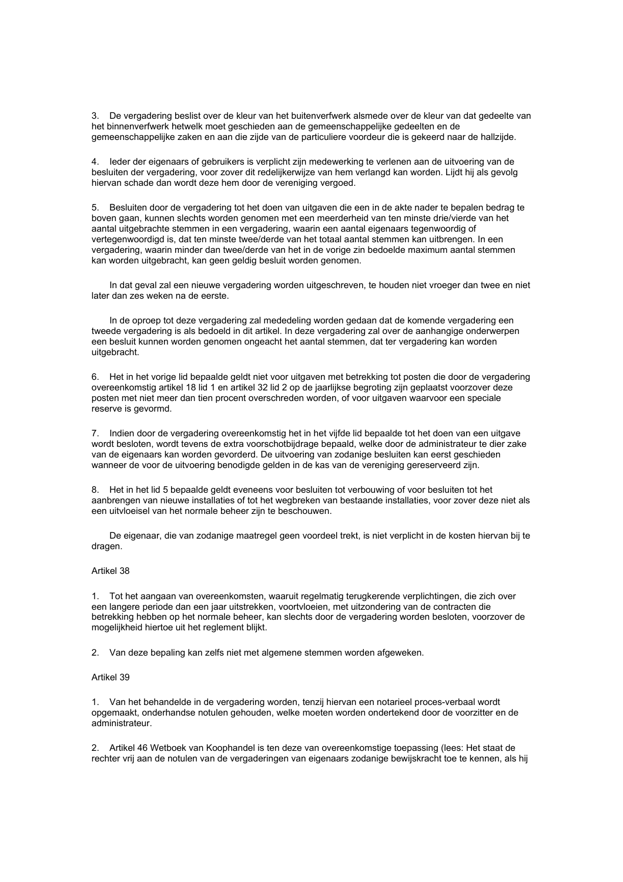3. De vergadering beslist over de kleur van het buitenverfwerk alsmede over de kleur van dat gedeelte van het binnenverfwerk hetwelk moet geschieden aan de gemeenschappelijke gedeelten en de gemeenschappelijke zaken en aan die zijde van de particuliere voordeur die is gekeerd naar de hallzijde.

4. leder der eigenaars of gebruikers is verplicht zijn medewerking te verlenen aan de uitvoering van de besluiten der vergadering, voor zover dit redelijkerwijze van hem verlangd kan worden. Lijdt hij als gevolg hiervan schade dan wordt deze hem door de vereniging vergoed.

5. Besluiten door de vergadering tot het doen van uitgaven die een in de akte nader te bepalen bedrag te boven gaan, kunnen slechts worden genomen met een meerderheid van ten minste drie/vierde van het aantal uitgebrachte stemmen in een vergadering, waarin een aantal eigenaars tegenwoordig of vertegenwoordigd is, dat ten minste twee/derde van het totaal aantal stemmen kan uitbrengen. In een vergadering, waarin minder dan twee/derde van het in de vorige zin bedoelde maximum aantal stemmen kan worden uitgebracht, kan geen geldig besluit worden genomen.

In dat geval zal een nieuwe vergadering worden uitgeschreven, te houden niet vroeger dan twee en niet later dan zes weken na de eerste.

In de oproep tot deze vergadering zal mededeling worden gedaan dat de komende vergadering een tweede vergadering is als bedoeld in dit artikel. In deze vergadering zal over de aanhangige onderwerpen een besluit kunnen worden genomen ongeacht het aantal stemmen, dat ter vergadering kan worden uitgebracht.

6. Het in het vorige lid bepaalde geldt niet voor uitgaven met betrekking tot posten die door de vergadering overeenkomstig artikel 18 lid 1 en artikel 32 lid 2 op de jaarlijkse begroting zijn geplaatst voorzover deze posten met niet meer dan tien procent overschreden worden, of voor uitgaven waarvoor een speciale reserve is gevormd.

7. Indien door de vergadering overeenkomstig het in het vijfde lid bepaalde tot het doen van een uitgave wordt besloten, wordt tevens de extra voorschotbijdrage bepaald, welke door de administrateur te dier zake van de eigenaars kan worden gevorderd. De uitvoering van zodanige besluiten kan eerst geschieden wanneer de voor de uitvoering benodigde gelden in de kas van de vereniging gereserveerd zijn.

8. Het in het lid 5 bepaalde geldt eveneens voor besluiten tot verbouwing of voor besluiten tot het aanbrengen van nieuwe installaties of tot het wegbreken van bestaande installaties, voor zover deze niet als een uitvloeisel van het normale beheer zijn te beschouwen.

De eigenaar, die van zodanige maatregel geen voordeel trekt, is niet verplicht in de kosten hiervan bij te dragen.

# Artikel 38

1. Tot het aangaan van overeenkomsten, waaruit regelmatig terugkerende verplichtingen, die zich over een langere periode dan een jaar uitstrekken, voortvloeien, met uitzondering van de contracten die betrekking hebben op het normale beheer, kan slechts door de vergadering worden besloten, voorzover de mogelijkheid hiertoe uit het reglement blijkt.

2. Van deze bepaling kan zelfs niet met algemene stemmen worden afgeweken.

#### Artikel 39

1. Van het behandelde in de vergadering worden, tenzij hiervan een notarieel proces-verbaal wordt opgemaakt, onderhandse notulen gehouden, welke moeten worden ondertekend door de voorzitter en de administrateur.

2. Artikel 46 Wetboek van Koophandel is ten deze van overeenkomstige toepassing (lees: Het staat de rechter vrij aan de notulen van de vergaderingen van eigenaars zodanige bewijskracht toe te kennen, als hij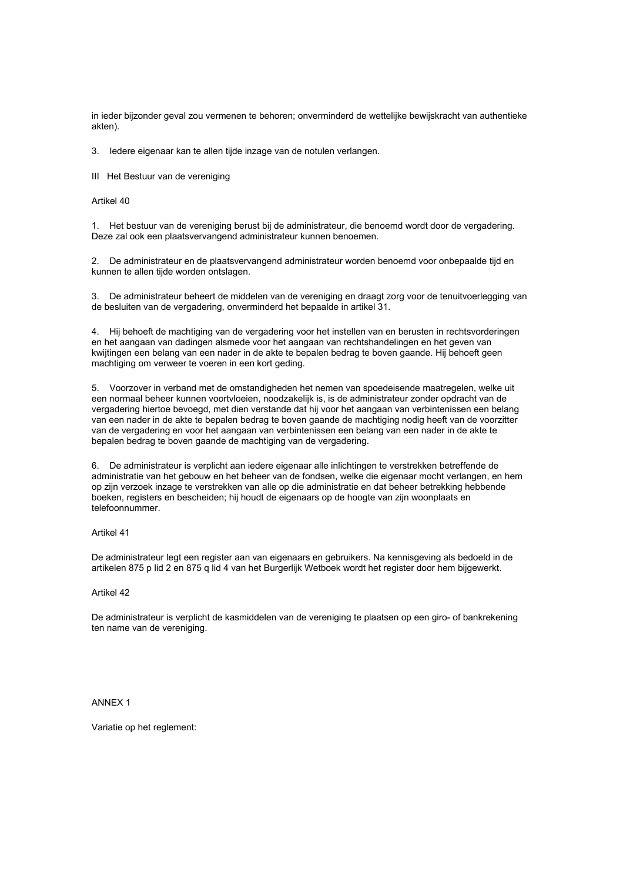in ieder bijzonder geval zou vermenen te behoren; onverminderd de wettelijke bewijskracht van authentieke akten).

ledere eigenaar kan te allen tijde inzage van de notulen verlangen. 3.

III Het Bestuur van de vereniging

Artikel 40

1. Het bestuur van de vereniging berust bij de administrateur, die benoemd wordt door de vergadering. Deze zal ook een plaatsvervangend administrateur kunnen benoemen.

2. De administrateur en de plaatsvervangend administrateur worden benoemd voor onbepaalde tijd en kunnen te allen tijde worden ontslagen.

3. De administrateur beheert de middelen van de vereniging en draagt zorg voor de tenuitvoerlegging van de besluiten van de vergadering, onverminderd het bepaalde in artikel 31.

4. Hij behoeft de machtiging van de vergadering voor het instellen van en berusten in rechtsvorderingen en het aangaan van dadingen alsmede voor het aangaan van rechtshandelingen en het geven van kwijtingen een belang van een nader in de akte te bepalen bedrag te boven gaande. Hij behoeft geen machtiging om verweer te voeren in een kort geding.

5. Voorzover in verband met de omstandigheden het nemen van spoedeisende maatregelen, welke uit een normaal beheer kunnen voortvloeien, noodzakelijk is, is de administrateur zonder opdracht van de vergadering hiertoe bevoegd, met dien verstande dat hij voor het aangaan van verbintenissen een belang van een nader in de akte te bepalen bedrag te boven gaande de machtiging nodig heeft van de voorzitter van de vergadering en voor het aangaan van verbintenissen een belang van een nader in de akte te bepalen bedrag te boven gaande de machtiging van de vergadering.

6. De administrateur is verplicht aan iedere eigenaar alle inlichtingen te verstrekken betreffende de administratie van het gebouw en het beheer van de fondsen, welke die eigenaar mocht verlangen, en hem op zijn verzoek inzage te verstrekken van alle op die administratie en dat beheer betrekking hebbende boeken, registers en bescheiden; hij houdt de eigenaars op de hoogte van zijn woonplaats en telefoonnummer.

Artikel 41

De administrateur legt een register aan van eigenaars en gebruikers. Na kennisgeving als bedoeld in de artikelen 875 p lid 2 en 875 g lid 4 van het Burgerlijk Wetboek wordt het register door hem bijgewerkt.

Artikel 42

De administrateur is verplicht de kasmiddelen van de vereniging te plaatsen op een giro- of bankrekening ten name van de vereniging.

**ANNEX1** 

Variatie op het reglement: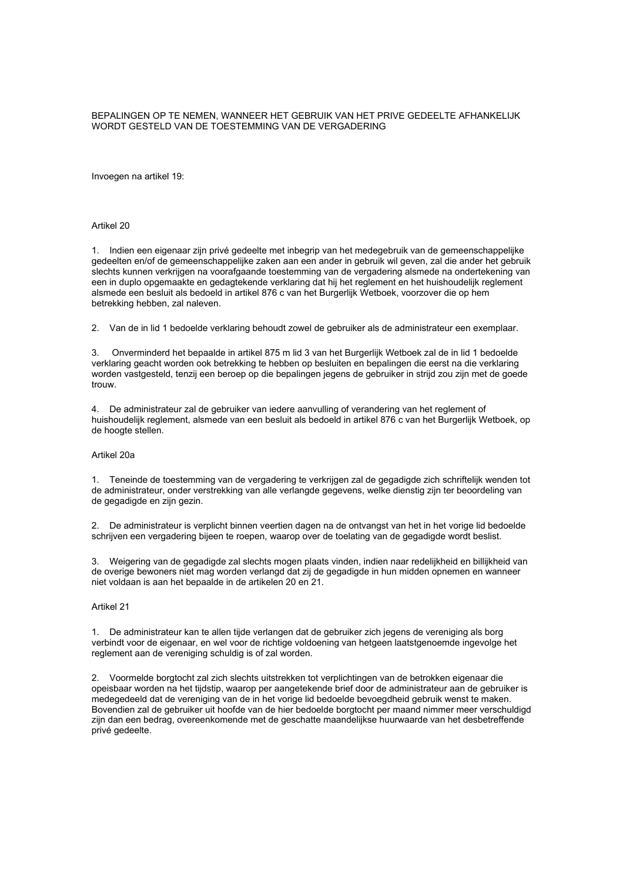# BEPALINGEN OP TE NEMEN, WANNEER HET GEBRUIK VAN HET PRIVE GEDEELTE AFHANKELIJK WORDT GESTELD VAN DE TOESTEMMING VAN DE VERGADERING

Invoegen na artikel 19:

## Artikel 20

1. Indien een eigenaar zijn privé gedeelte met inbegrip van het medegebruik van de gemeenschappelijke gedeelten en/of de gemeenschappelijke zaken aan een ander in gebruik wil geven, zal die ander het gebruik slechts kunnen verkrijgen na voorafgaande toestemming van de vergadering alsmede na ondertekening van een in duplo opgemaakte en gedagtekende verklaring dat hij het reglement en het huishoudelijk reglement alsmede een besluit als bedoeld in artikel 876 c van het Burgerlijk Wetboek, voorzover die op hem betrekking hebben, zal naleven.

2. Van de in lid 1 bedoelde verklaring behoudt zowel de gebruiker als de administrateur een exemplaar.

Onverminderd het bepaalde in artikel 875 m lid 3 van het Burgerlijk Wetboek zal de in lid 1 bedoelde verklaring geacht worden ook betrekking te hebben op besluiten en bepalingen die eerst na die verklaring worden vastgesteld, tenzij een beroep op die bepalingen jegens de gebruiker in strijd zou zijn met de goede trouw.

4. De administrateur zal de gebruiker van jedere aanvulling of verandering van het reglement of huishoudelijk reglement, alsmede van een besluit als bedoeld in artikel 876 c van het Burgerlijk Wetboek, op de hoogte stellen.

#### Artikel 20a

1. Teneinde de toestemming van de vergadering te verkrijgen zal de gegadigde zich schriftelijk wenden tot de administrateur, onder verstrekking van alle verlangde gegevens, welke dienstig zijn ter beoordeling van de gegadigde en zijn gezin.

2. De administrateur is verplicht binnen veertien dagen na de ontvangst van het in het vorige lid bedoelde schrijven een vergadering bijeen te roepen, waarop over de toelating van de gegadigde wordt beslist.

3. Weigering van de gegadigde zal slechts mogen plaats vinden, indien naar redelijkheid en billijkheid van de overige bewoners niet mag worden verlangd dat zij de gegadigde in hun midden opnemen en wanneer niet voldaan is aan het bepaalde in de artikelen 20 en 21.

# Artikel 21

1. De administrateur kan te allen tijde verlangen dat de gebruiker zich jegens de vereniging als borg verbindt voor de eigenaar, en wel voor de richtige voldoening van hetgeen laatstgenoemde ingevolge het reglement aan de vereniging schuldig is of zal worden.

2. Voormelde borgtocht zal zich slechts uitstrekken tot verplichtingen van de betrokken eigenaar die opeisbaar worden na het tijdstip, waarop per aangetekende brief door de administrateur aan de gebruiker is medegedeeld dat de vereniging van de in het vorige lid bedoelde bevoegdheid gebruik wenst te maken. Bovendien zal de gebruiker uit hoofde van de hier bedoelde borgtocht per maand nimmer meer verschuldigd zijn dan een bedrag, overeenkomende met de geschatte maandelijkse huurwaarde van het desbetreffende privé gedeelte.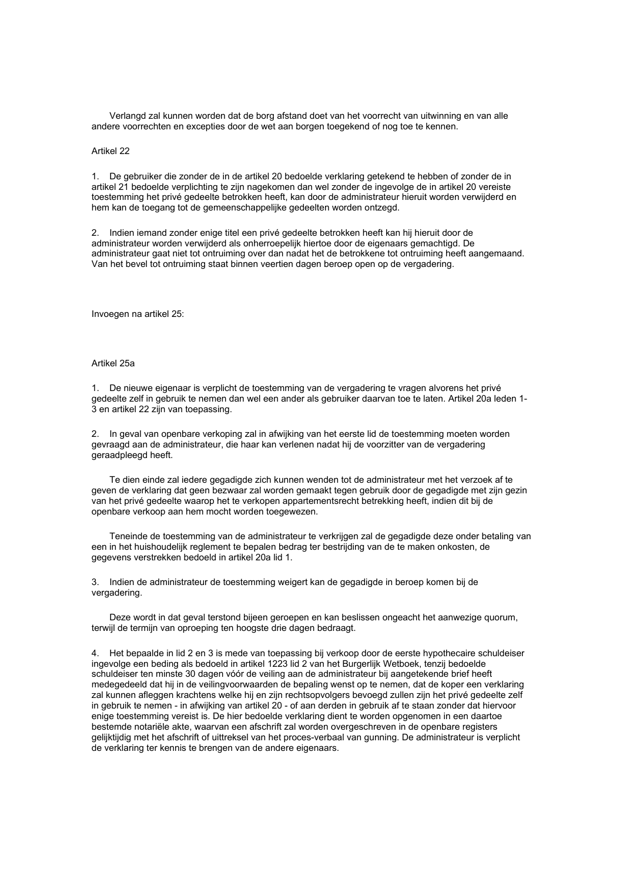Verlangd zal kunnen worden dat de borg afstand doet van het voorrecht van uitwinning en van alle andere voorrechten en excepties door de wet aan borgen toegekend of nog toe te kennen.

# Artikel 22

1. De gebruiker die zonder de in de artikel 20 bedoelde verklaring getekend te hebben of zonder de in artikel 21 bedoelde verplichting te zijn nagekomen dan wel zonder de ingevolge de in artikel 20 vereiste toestemming het privé gedeelte betrokken heeft, kan door de administrateur hieruit worden verwijderd en hem kan de toegang tot de gemeenschappelijke gedeelten worden ontzegd.

2. Indien iemand zonder enige titel een privé gedeelte betrokken heeft kan hij hieruit door de administrateur worden verwijderd als onherroepelijk hiertoe door de eigenaars gemachtigd. De administrateur gaat niet tot ontruiming over dan nadat het de betrokkene tot ontruiming heeft aangemaand. Van het bevel tot ontruiming staat binnen veertien dagen beroep open op de vergadering.

Invoegen na artikel 25:

# Artikel 25a

1. De nieuwe eigenaar is verplicht de toestemming van de vergadering te vragen alvorens het privé gedeelte zelf in gebruik te nemen dan wel een ander als gebruiker daarvan toe te laten. Artikel 20a leden 1-3 en artikel 22 zijn van toepassing.

2. In geval van openbare verkoping zal in afwijking van het eerste lid de toestemming moeten worden gevraagd aan de administrateur, die haar kan verlenen nadat hij de voorzitter van de vergadering geraadpleegd heeft.

Te dien einde zal jedere gegadigde zich kunnen wenden tot de administrateur met het verzoek af te geven de verklaring dat geen bezwaar zal worden gemaakt tegen gebruik door de gegadigde met zijn gezin van het privé gedeelte waarop het te verkopen appartementsrecht betrekking heeft, indien dit bij de openbare verkoop aan hem mocht worden toegewezen.

Teneinde de toestemming van de administrateur te verkrijgen zal de gegadigde deze onder betaling van een in het huishoudelijk reglement te bepalen bedrag ter bestrijding van de te maken onkosten, de gegevens verstrekken bedoeld in artikel 20a lid 1.

3. Indien de administrateur de toestemming weigert kan de gegadigde in beroep komen bij de vergadering.

Deze wordt in dat geval terstond bijeen geroepen en kan beslissen ongeacht het aanwezige quorum, terwijl de termijn van oproeping ten hoogste drie dagen bedraagt.

4. Het bepaalde in lid 2 en 3 is mede van toepassing bij verkoop door de eerste hypothecaire schuldeiser ingevolge een beding als bedoeld in artikel 1223 lid 2 van het Burgerlijk Wetboek, tenzij bedoelde schuldeiser ten minste 30 dagen vóór de veiling aan de administrateur bij aangetekende brief heeft medegedeeld dat hij in de veilingvoorwaarden de bepaling wenst op te nemen, dat de koper een verklaring zal kunnen afleggen krachtens welke hij en zijn rechtsopvolgers bevoegd zullen zijn het privé gedeelte zelf in gebruik te nemen - in afwijking van artikel 20 - of aan derden in gebruik af te staan zonder dat hiervoor enige toestemming vereist is. De hier bedoelde verklaring dient te worden opgenomen in een daartoe bestemde notariële akte, waarvan een afschrift zal worden overgeschreven in de openbare registers gelijktijdig met het afschrift of uittreksel van het proces-verbaal van gunning. De administrateur is verplicht de verklaring ter kennis te brengen van de andere eigenaars.